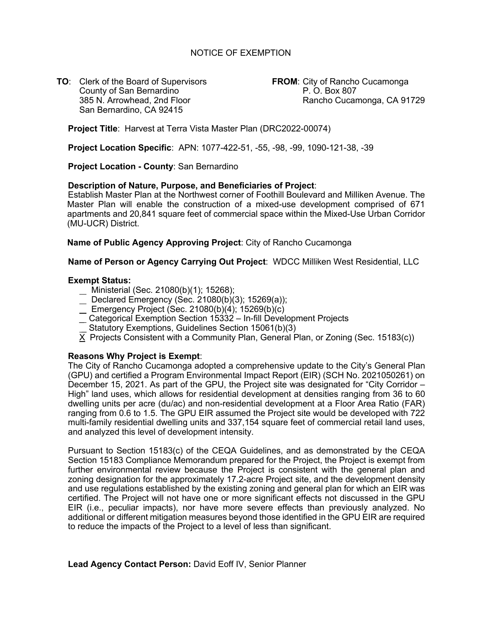## NOTICE OF EXEMPTION

**TO**: Clerk of the Board of Supervisors **FROM**: City of Rancho Cucamonga County of San Bernardino **P. O. Box 807** San Bernardino, CA 92415

385 N. Arrowhead, 2nd Floor Rancho Cucamonga, CA 91729

**Project Title**: Harvest at Terra Vista Master Plan (DRC2022-00074)

**Project Location Specific**: APN: 1077-422-51, -55, -98, -99, 1090-121-38, -39

**Project Location - County**: San Bernardino

#### **Description of Nature, Purpose, and Beneficiaries of Project**:

Establish Master Plan at the Northwest corner of Foothill Boulevard and Milliken Avenue. The Master Plan will enable the construction of a mixed-use development comprised of 671 apartments and 20,841 square feet of commercial space within the Mixed-Use Urban Corridor (MU-UCR) District.

**Name of Public Agency Approving Project**: City of Rancho Cucamonga

**Name of Person or Agency Carrying Out Project**: WDCC Milliken West Residential, LLC

#### **Exempt Status:**

- Ministerial (Sec. 21080(b)(1); 15268);
- $\frac{1}{2}$  Declared Emergency (Sec. 21080(b)(3); 15269(a));
- Emergency Project (Sec. 21080(b)(4); 15269(b)(c)
- \_ Categorical Exemption Section 15332 In-fill Development Projects
- Statutory Exemptions, Guidelines Section 15061(b)(3)
- $\overline{X}$  Projects Consistent with a Community Plan, General Plan, or Zoning (Sec. 15183(c))

### **Reasons Why Project is Exempt**:

The City of Rancho Cucamonga adopted a comprehensive update to the City's General Plan (GPU) and certified a Program Environmental Impact Report (EIR) (SCH No. 2021050261) on December 15, 2021. As part of the GPU, the Project site was designated for "City Corridor – High" land uses, which allows for residential development at densities ranging from 36 to 60 dwelling units per acre (du/ac) and non-residential development at a Floor Area Ratio (FAR) ranging from 0.6 to 1.5. The GPU EIR assumed the Project site would be developed with 722 multi-family residential dwelling units and 337,154 square feet of commercial retail land uses, and analyzed this level of development intensity.

Pursuant to Section 15183(c) of the CEQA Guidelines, and as demonstrated by the CEQA Section 15183 Compliance Memorandum prepared for the Project, the Project is exempt from further environmental review because the Project is consistent with the general plan and zoning designation for the approximately 17.2-acre Project site, and the development density and use regulations established by the existing zoning and general plan for which an EIR was certified. The Project will not have one or more significant effects not discussed in the GPU EIR (i.e., peculiar impacts), nor have more severe effects than previously analyzed. No additional or different mitigation measures beyond those identified in the GPU EIR are required to reduce the impacts of the Project to a level of less than significant.